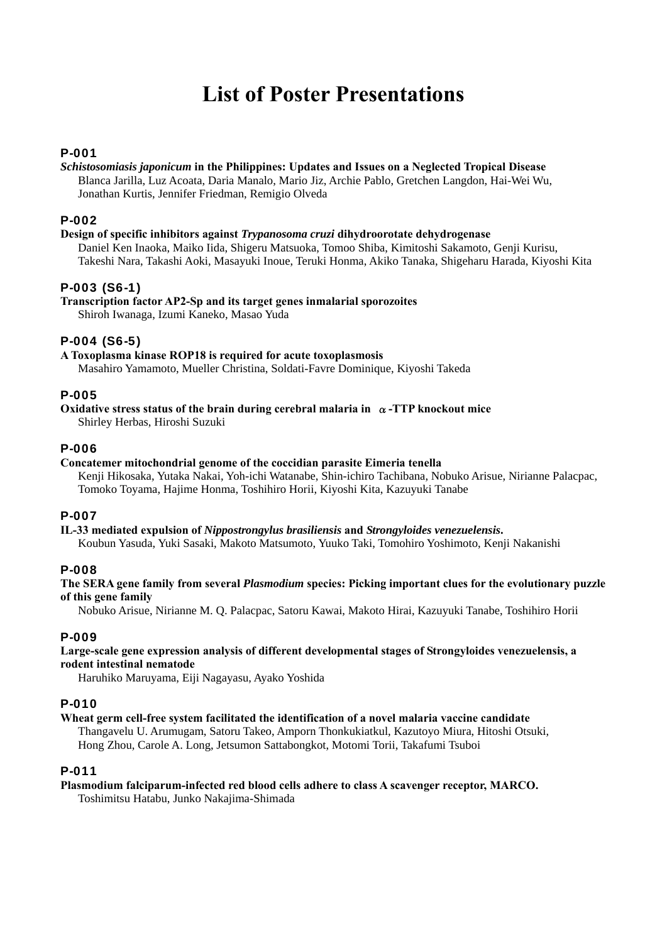# **List of Poster Presentations**

## P-001

## *Schistosomiasis japonicum* **in the Philippines: Updates and Issues on a Neglected Tropical Disease**

Blanca Jarilla, Luz Acoata, Daria Manalo, Mario Jiz, Archie Pablo, Gretchen Langdon, Hai-Wei Wu, Jonathan Kurtis, Jennifer Friedman, Remigio Olveda

## P-002

#### **Design of specific inhibitors against** *Trypanosoma cruzi* **dihydroorotate dehydrogenase**

Daniel Ken Inaoka, Maiko Iida, Shigeru Matsuoka, Tomoo Shiba, Kimitoshi Sakamoto, Genji Kurisu, Takeshi Nara, Takashi Aoki, Masayuki Inoue, Teruki Honma, Akiko Tanaka, Shigeharu Harada, Kiyoshi Kita

# P-003 (S6-1)

#### **Transcription factor AP2-Sp and its target genes inmalarial sporozoites**  Shiroh Iwanaga, Izumi Kaneko, Masao Yuda

# P-004 (S6-5)

## **A Toxoplasma kinase ROP18 is required for acute toxoplasmosis**

Masahiro Yamamoto, Mueller Christina, Soldati-Favre Dominique, Kiyoshi Takeda

# P-005

# **Oxidative stress status of the brain during cerebral malaria in** α**-TTP knockout mice**

Shirley Herbas, Hiroshi Suzuki

## P-006

### **Concatemer mitochondrial genome of the coccidian parasite Eimeria tenella**

Kenji Hikosaka, Yutaka Nakai, Yoh-ichi Watanabe, Shin-ichiro Tachibana, Nobuko Arisue, Nirianne Palacpac, Tomoko Toyama, Hajime Honma, Toshihiro Horii, Kiyoshi Kita, Kazuyuki Tanabe

## P-007

#### **IL-33 mediated expulsion of** *Nippostrongylus brasiliensis* **and** *Strongyloides venezuelensis***.**  Koubun Yasuda, Yuki Sasaki, Makoto Matsumoto, Yuuko Taki, Tomohiro Yoshimoto, Kenji Nakanishi

## P-008

### **The SERA gene family from several** *Plasmodium* **species: Picking important clues for the evolutionary puzzle of this gene family**

Nobuko Arisue, Nirianne M. Q. Palacpac, Satoru Kawai, Makoto Hirai, Kazuyuki Tanabe, Toshihiro Horii

## P-009

#### **Large-scale gene expression analysis of different developmental stages of Strongyloides venezuelensis, a rodent intestinal nematode**

Haruhiko Maruyama, Eiji Nagayasu, Ayako Yoshida

## P-010

## **Wheat germ cell-free system facilitated the identification of a novel malaria vaccine candidate**

Thangavelu U. Arumugam, Satoru Takeo, Amporn Thonkukiatkul, Kazutoyo Miura, Hitoshi Otsuki, Hong Zhou, Carole A. Long, Jetsumon Sattabongkot, Motomi Torii, Takafumi Tsuboi

## P-011

#### **Plasmodium falciparum-infected red blood cells adhere to class A scavenger receptor, MARCO.**  Toshimitsu Hatabu, Junko Nakajima-Shimada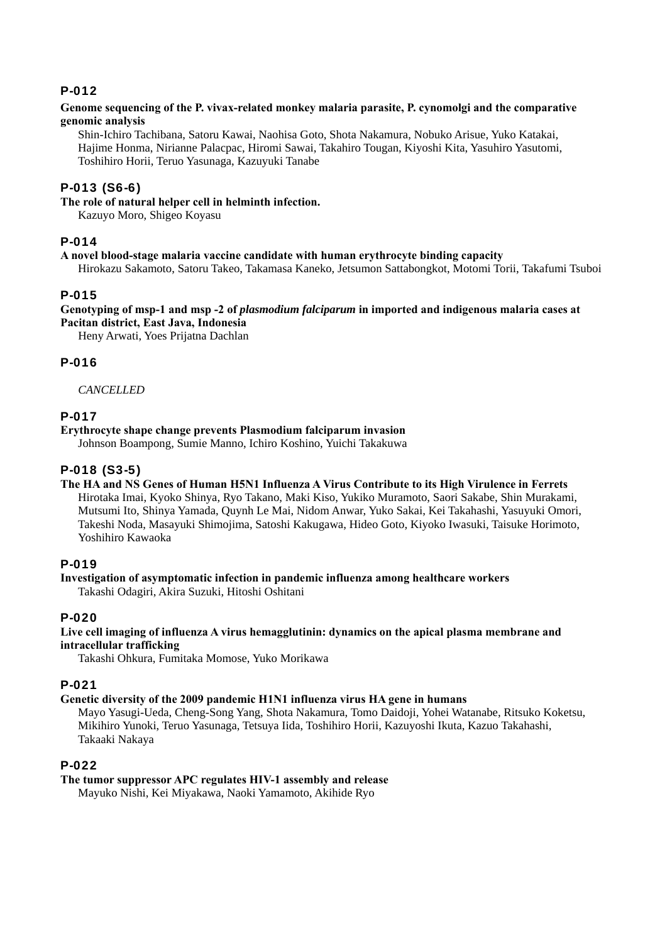#### **Genome sequencing of the P. vivax-related monkey malaria parasite, P. cynomolgi and the comparative genomic analysis**

Shin-Ichiro Tachibana, Satoru Kawai, Naohisa Goto, Shota Nakamura, Nobuko Arisue, Yuko Katakai, Hajime Honma, Nirianne Palacpac, Hiromi Sawai, Takahiro Tougan, Kiyoshi Kita, Yasuhiro Yasutomi, Toshihiro Horii, Teruo Yasunaga, Kazuyuki Tanabe

## P-013 (S6-6)

**The role of natural helper cell in helminth infection.** 

Kazuyo Moro, Shigeo Koyasu

## P-014

**A novel blood-stage malaria vaccine candidate with human erythrocyte binding capacity** 

Hirokazu Sakamoto, Satoru Takeo, Takamasa Kaneko, Jetsumon Sattabongkot, Motomi Torii, Takafumi Tsuboi

## P-015

**Genotyping of msp-1 and msp -2 of** *plasmodium falciparum* **in imported and indigenous malaria cases at Pacitan district, East Java, Indonesia** 

Heny Arwati, Yoes Prijatna Dachlan

## P-016

 *CANCELLED* 

### P-017

**Erythrocyte shape change prevents Plasmodium falciparum invasion** 

Johnson Boampong, Sumie Manno, Ichiro Koshino, Yuichi Takakuwa

### P-018 (S3-5)

#### **The HA and NS Genes of Human H5N1 Influenza A Virus Contribute to its High Virulence in Ferrets**  Hirotaka Imai, Kyoko Shinya, Ryo Takano, Maki Kiso, Yukiko Muramoto, Saori Sakabe, Shin Murakami, Mutsumi Ito, Shinya Yamada, Quynh Le Mai, Nidom Anwar, Yuko Sakai, Kei Takahashi, Yasuyuki Omori, Takeshi Noda, Masayuki Shimojima, Satoshi Kakugawa, Hideo Goto, Kiyoko Iwasuki, Taisuke Horimoto,

Yoshihiro Kawaoka

#### P-019

**Investigation of asymptomatic infection in pandemic influenza among healthcare workers**  Takashi Odagiri, Akira Suzuki, Hitoshi Oshitani

## P-020

#### **Live cell imaging of influenza A virus hemagglutinin: dynamics on the apical plasma membrane and intracellular trafficking**

Takashi Ohkura, Fumitaka Momose, Yuko Morikawa

## P-021

#### **Genetic diversity of the 2009 pandemic H1N1 influenza virus HA gene in humans**

Mayo Yasugi-Ueda, Cheng-Song Yang, Shota Nakamura, Tomo Daidoji, Yohei Watanabe, Ritsuko Koketsu, Mikihiro Yunoki, Teruo Yasunaga, Tetsuya Iida, Toshihiro Horii, Kazuyoshi Ikuta, Kazuo Takahashi, Takaaki Nakaya

## P-022

#### **The tumor suppressor APC regulates HIV-1 assembly and release**

Mayuko Nishi, Kei Miyakawa, Naoki Yamamoto, Akihide Ryo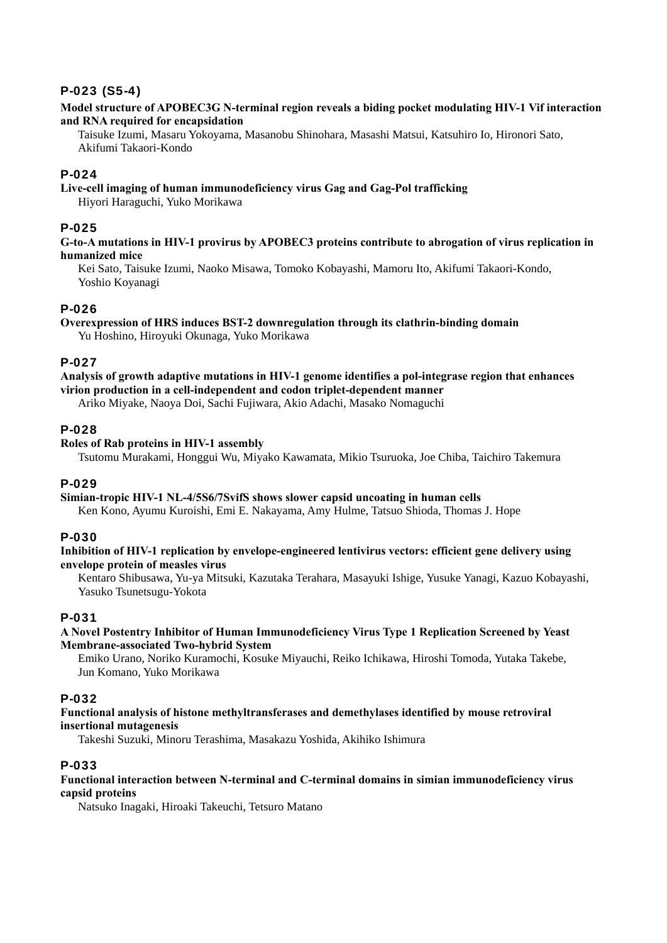# P-023 (S5-4)

## **Model structure of APOBEC3G N-terminal region reveals a biding pocket modulating HIV-1 Vif interaction and RNA required for encapsidation**

Taisuke Izumi, Masaru Yokoyama, Masanobu Shinohara, Masashi Matsui, Katsuhiro Io, Hironori Sato, Akifumi Takaori-Kondo

## $D_0$

**Live-cell imaging of human immunodeficiency virus Gag and Gag-Pol trafficking** 

Hiyori Haraguchi, Yuko Morikawa

## P-025

**G-to-A mutations in HIV-1 provirus by APOBEC3 proteins contribute to abrogation of virus replication in humanized mice** 

Kei Sato, Taisuke Izumi, Naoko Misawa, Tomoko Kobayashi, Mamoru Ito, Akifumi Takaori-Kondo, Yoshio Koyanagi

## P-026

**Overexpression of HRS induces BST-2 downregulation through its clathrin-binding domain**  Yu Hoshino, Hiroyuki Okunaga, Yuko Morikawa

## P-027

**Analysis of growth adaptive mutations in HIV-1 genome identifies a pol-integrase region that enhances virion production in a cell-independent and codon triplet-dependent manner** 

Ariko Miyake, Naoya Doi, Sachi Fujiwara, Akio Adachi, Masako Nomaguchi

### P-028

#### **Roles of Rab proteins in HIV-1 assembly**

Tsutomu Murakami, Honggui Wu, Miyako Kawamata, Mikio Tsuruoka, Joe Chiba, Taichiro Takemura

#### P-029

**Simian-tropic HIV-1 NL-4/5S6/7SvifS shows slower capsid uncoating in human cells** 

Ken Kono, Ayumu Kuroishi, Emi E. Nakayama, Amy Hulme, Tatsuo Shioda, Thomas J. Hope

## P-030

**Inhibition of HIV-1 replication by envelope-engineered lentivirus vectors: efficient gene delivery using envelope protein of measles virus** 

Kentaro Shibusawa, Yu-ya Mitsuki, Kazutaka Terahara, Masayuki Ishige, Yusuke Yanagi, Kazuo Kobayashi, Yasuko Tsunetsugu-Yokota

#### P-031

## **A Novel Postentry Inhibitor of Human Immunodeficiency Virus Type 1 Replication Screened by Yeast Membrane-associated Two-hybrid System**

Emiko Urano, Noriko Kuramochi, Kosuke Miyauchi, Reiko Ichikawa, Hiroshi Tomoda, Yutaka Takebe, Jun Komano, Yuko Morikawa

#### P-032

**Functional analysis of histone methyltransferases and demethylases identified by mouse retroviral insertional mutagenesis** 

Takeshi Suzuki, Minoru Terashima, Masakazu Yoshida, Akihiko Ishimura

## P-033

**Functional interaction between N-terminal and C-terminal domains in simian immunodeficiency virus capsid proteins** 

Natsuko Inagaki, Hiroaki Takeuchi, Tetsuro Matano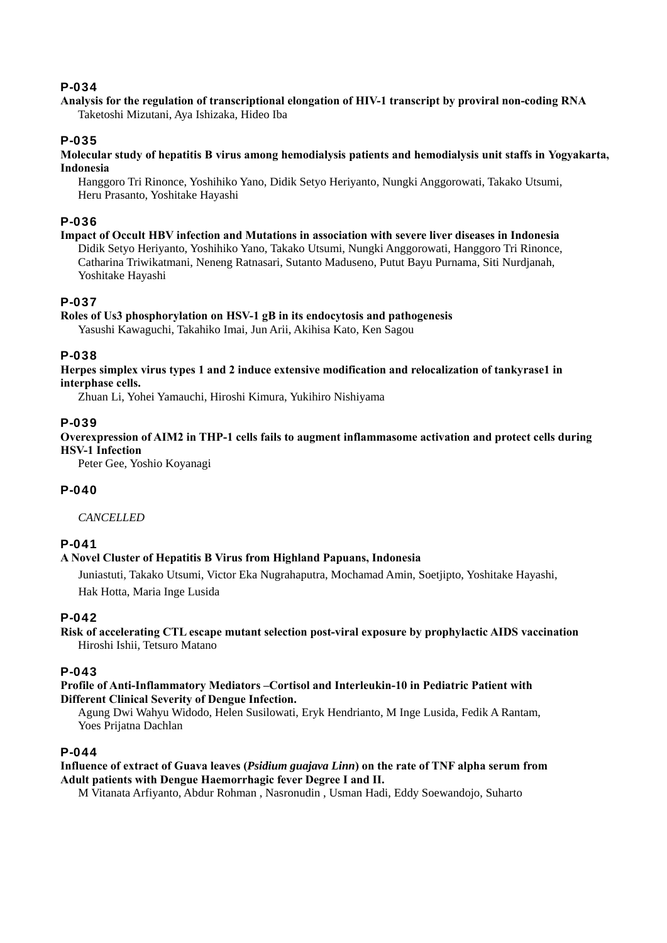**Analysis for the regulation of transcriptional elongation of HIV-1 transcript by proviral non-coding RNA**  Taketoshi Mizutani, Aya Ishizaka, Hideo Iba

## P-035

#### **Molecular study of hepatitis B virus among hemodialysis patients and hemodialysis unit staffs in Yogyakarta, Indonesia**

Hanggoro Tri Rinonce, Yoshihiko Yano, Didik Setyo Heriyanto, Nungki Anggorowati, Takako Utsumi, Heru Prasanto, Yoshitake Hayashi

## P-036

**Impact of Occult HBV infection and Mutations in association with severe liver diseases in Indonesia**  Didik Setyo Heriyanto, Yoshihiko Yano, Takako Utsumi, Nungki Anggorowati, Hanggoro Tri Rinonce, Catharina Triwikatmani, Neneng Ratnasari, Sutanto Maduseno, Putut Bayu Purnama, Siti Nurdjanah, Yoshitake Hayashi

## P-037

**Roles of Us3 phosphorylation on HSV-1 gB in its endocytosis and pathogenesis** 

Yasushi Kawaguchi, Takahiko Imai, Jun Arii, Akihisa Kato, Ken Sagou

## P-038

**Herpes simplex virus types 1 and 2 induce extensive modification and relocalization of tankyrase1 in interphase cells.** 

Zhuan Li, Yohei Yamauchi, Hiroshi Kimura, Yukihiro Nishiyama

## P-039

**Overexpression of AIM2 in THP-1 cells fails to augment inflammasome activation and protect cells during HSV-1 Infection** 

Peter Gee, Yoshio Koyanagi

## P-040

 *CANCELLED* 

## P-041

## **A Novel Cluster of Hepatitis B Virus from Highland Papuans, Indonesia**

Juniastuti, Takako Utsumi, Victor Eka Nugrahaputra, Mochamad Amin, Soetjipto, Yoshitake Hayashi, Hak Hotta, Maria Inge Lusida

## P-042

**Risk of accelerating CTL escape mutant selection post-viral exposure by prophylactic AIDS vaccination**  Hiroshi Ishii, Tetsuro Matano

## P-043

#### **Profile of Anti-Inflammatory Mediators –Cortisol and Interleukin-10 in Pediatric Patient with Different Clinical Severity of Dengue Infection.**

Agung Dwi Wahyu Widodo, Helen Susilowati, Eryk Hendrianto, M Inge Lusida, Fedik A Rantam, Yoes Prijatna Dachlan

## P-044

#### **Influence of extract of Guava leaves (***Psidium guajava Linn***) on the rate of TNF alpha serum from Adult patients with Dengue Haemorrhagic fever Degree I and II.**

M Vitanata Arfiyanto, Abdur Rohman , Nasronudin , Usman Hadi, Eddy Soewandojo, Suharto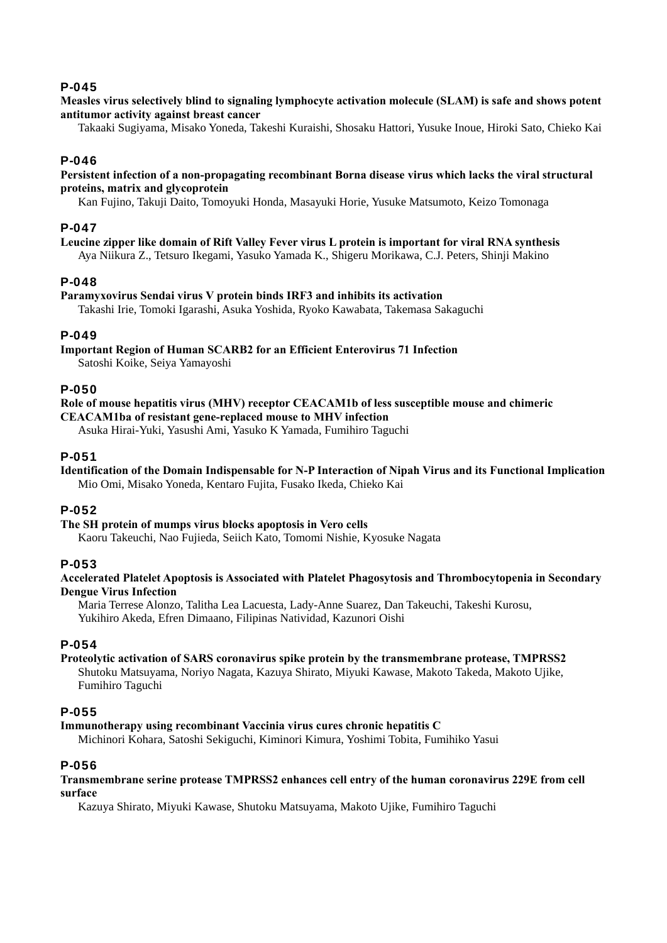**Measles virus selectively blind to signaling lymphocyte activation molecule (SLAM) is safe and shows potent antitumor activity against breast cancer** 

Takaaki Sugiyama, Misako Yoneda, Takeshi Kuraishi, Shosaku Hattori, Yusuke Inoue, Hiroki Sato, Chieko Kai

## P-046

**Persistent infection of a non-propagating recombinant Borna disease virus which lacks the viral structural proteins, matrix and glycoprotein** 

Kan Fujino, Takuji Daito, Tomoyuki Honda, Masayuki Horie, Yusuke Matsumoto, Keizo Tomonaga

## P-047

**Leucine zipper like domain of Rift Valley Fever virus L protein is important for viral RNA synthesis**  Aya Niikura Z., Tetsuro Ikegami, Yasuko Yamada K., Shigeru Morikawa, C.J. Peters, Shinji Makino

### P-048

**Paramyxovirus Sendai virus V protein binds IRF3 and inhibits its activation**  Takashi Irie, Tomoki Igarashi, Asuka Yoshida, Ryoko Kawabata, Takemasa Sakaguchi

### P-049

**Important Region of Human SCARB2 for an Efficient Enterovirus 71 Infection**  Satoshi Koike, Seiya Yamayoshi

#### P-050

**Role of mouse hepatitis virus (MHV) receptor CEACAM1b of less susceptible mouse and chimeric CEACAM1ba of resistant gene-replaced mouse to MHV infection** 

Asuka Hirai-Yuki, Yasushi Ami, Yasuko K Yamada, Fumihiro Taguchi

#### P-051

**Identification of the Domain Indispensable for N-P Interaction of Nipah Virus and its Functional Implication**  Mio Omi, Misako Yoneda, Kentaro Fujita, Fusako Ikeda, Chieko Kai

#### P-052

#### **The SH protein of mumps virus blocks apoptosis in Vero cells**

Kaoru Takeuchi, Nao Fujieda, Seiich Kato, Tomomi Nishie, Kyosuke Nagata

#### P-053

**Accelerated Platelet Apoptosis is Associated with Platelet Phagosytosis and Thrombocytopenia in Secondary Dengue Virus Infection** 

Maria Terrese Alonzo, Talitha Lea Lacuesta, Lady-Anne Suarez, Dan Takeuchi, Takeshi Kurosu, Yukihiro Akeda, Efren Dimaano, Filipinas Natividad, Kazunori Oishi

#### P-054

**Proteolytic activation of SARS coronavirus spike protein by the transmembrane protease, TMPRSS2**  Shutoku Matsuyama, Noriyo Nagata, Kazuya Shirato, Miyuki Kawase, Makoto Takeda, Makoto Ujike, Fumihiro Taguchi

## P-055

**Immunotherapy using recombinant Vaccinia virus cures chronic hepatitis C**  Michinori Kohara, Satoshi Sekiguchi, Kiminori Kimura, Yoshimi Tobita, Fumihiko Yasui

## P-056

**Transmembrane serine protease TMPRSS2 enhances cell entry of the human coronavirus 229E from cell surface** 

Kazuya Shirato, Miyuki Kawase, Shutoku Matsuyama, Makoto Ujike, Fumihiro Taguchi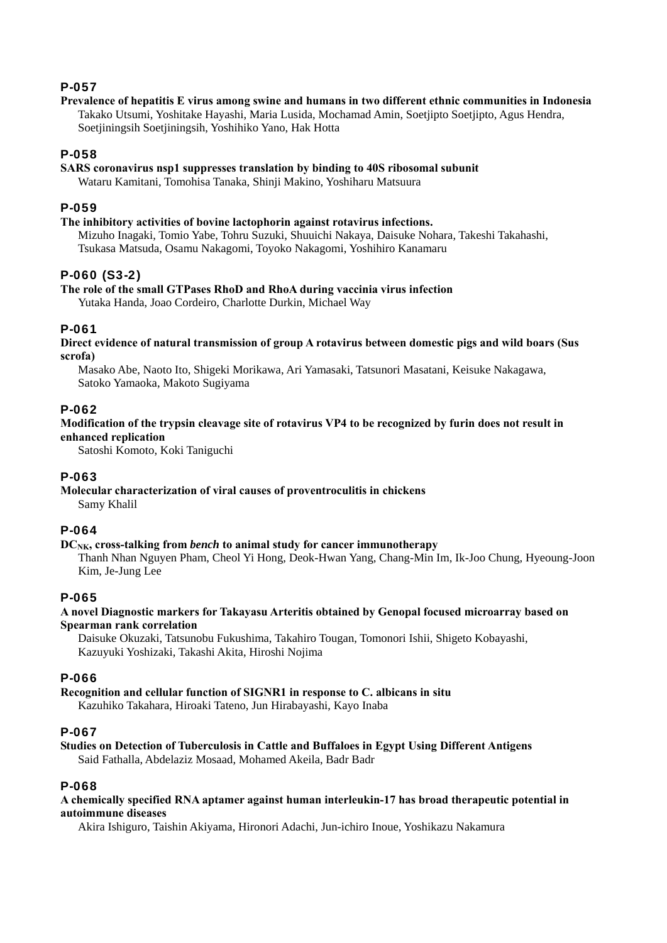**Prevalence of hepatitis E virus among swine and humans in two different ethnic communities in Indonesia**  Takako Utsumi, Yoshitake Hayashi, Maria Lusida, Mochamad Amin, Soetjipto Soetjipto, Agus Hendra, Soetjiningsih Soetjiningsih, Yoshihiko Yano, Hak Hotta

## P-058

**SARS coronavirus nsp1 suppresses translation by binding to 40S ribosomal subunit** 

Wataru Kamitani, Tomohisa Tanaka, Shinji Makino, Yoshiharu Matsuura

# P-059

#### **The inhibitory activities of bovine lactophorin against rotavirus infections.**

Mizuho Inagaki, Tomio Yabe, Tohru Suzuki, Shuuichi Nakaya, Daisuke Nohara, Takeshi Takahashi, Tsukasa Matsuda, Osamu Nakagomi, Toyoko Nakagomi, Yoshihiro Kanamaru

# P-060 (S3-2)

# **The role of the small GTPases RhoD and RhoA during vaccinia virus infection**

Yutaka Handa, Joao Cordeiro, Charlotte Durkin, Michael Way

# P-061

**Direct evidence of natural transmission of group A rotavirus between domestic pigs and wild boars (Sus scrofa)** 

Masako Abe, Naoto Ito, Shigeki Morikawa, Ari Yamasaki, Tatsunori Masatani, Keisuke Nakagawa, Satoko Yamaoka, Makoto Sugiyama

# P-062

## **Modification of the trypsin cleavage site of rotavirus VP4 to be recognized by furin does not result in enhanced replication**

Satoshi Komoto, Koki Taniguchi

## P-063

# **Molecular characterization of viral causes of proventroculitis in chickens**

Samy Khalil

## P-064

## **DCNK, cross-talking from** *bench* **to animal study for cancer immunotherapy**

Thanh Nhan Nguyen Pham, Cheol Yi Hong, Deok-Hwan Yang, Chang-Min Im, Ik-Joo Chung, Hyeoung-Joon Kim, Je-Jung Lee

# P-065

#### **A novel Diagnostic markers for Takayasu Arteritis obtained by Genopal focused microarray based on Spearman rank correlation**

Daisuke Okuzaki, Tatsunobu Fukushima, Takahiro Tougan, Tomonori Ishii, Shigeto Kobayashi, Kazuyuki Yoshizaki, Takashi Akita, Hiroshi Nojima

## P-066

**Recognition and cellular function of SIGNR1 in response to C. albicans in situ**  Kazuhiko Takahara, Hiroaki Tateno, Jun Hirabayashi, Kayo Inaba

## P-067

**Studies on Detection of Tuberculosis in Cattle and Buffaloes in Egypt Using Different Antigens**  Said Fathalla, Abdelaziz Mosaad, Mohamed Akeila, Badr Badr

## P-068

#### **A chemically specified RNA aptamer against human interleukin-17 has broad therapeutic potential in autoimmune diseases**

Akira Ishiguro, Taishin Akiyama, Hironori Adachi, Jun-ichiro Inoue, Yoshikazu Nakamura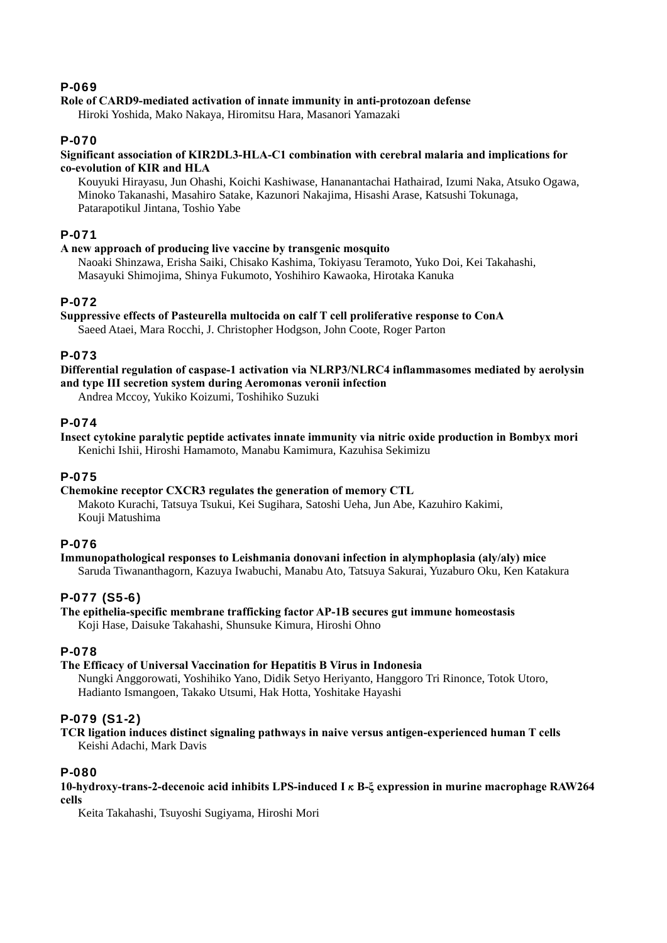## **Role of CARD9-mediated activation of innate immunity in anti-protozoan defense**

Hiroki Yoshida, Mako Nakaya, Hiromitsu Hara, Masanori Yamazaki

# P-070

## **Significant association of KIR2DL3-HLA-C1 combination with cerebral malaria and implications for co-evolution of KIR and HLA**

Kouyuki Hirayasu, Jun Ohashi, Koichi Kashiwase, Hananantachai Hathairad, Izumi Naka, Atsuko Ogawa, Minoko Takanashi, Masahiro Satake, Kazunori Nakajima, Hisashi Arase, Katsushi Tokunaga, Patarapotikul Jintana, Toshio Yabe

# P-071

### **A new approach of producing live vaccine by transgenic mosquito**

Naoaki Shinzawa, Erisha Saiki, Chisako Kashima, Tokiyasu Teramoto, Yuko Doi, Kei Takahashi, Masayuki Shimojima, Shinya Fukumoto, Yoshihiro Kawaoka, Hirotaka Kanuka

# P-072

**Suppressive effects of Pasteurella multocida on calf T cell proliferative response to ConA** 

Saeed Ataei, Mara Rocchi, J. Christopher Hodgson, John Coote, Roger Parton

# P-073

**Differential regulation of caspase-1 activation via NLRP3/NLRC4 inflammasomes mediated by aerolysin and type III secretion system during Aeromonas veronii infection** 

Andrea Mccoy, Yukiko Koizumi, Toshihiko Suzuki

## P-074

**Insect cytokine paralytic peptide activates innate immunity via nitric oxide production in Bombyx mori**  Kenichi Ishii, Hiroshi Hamamoto, Manabu Kamimura, Kazuhisa Sekimizu

## P-075

# **Chemokine receptor CXCR3 regulates the generation of memory CTL**

Makoto Kurachi, Tatsuya Tsukui, Kei Sugihara, Satoshi Ueha, Jun Abe, Kazuhiro Kakimi, Kouji Matushima

## P-076

**Immunopathological responses to Leishmania donovani infection in alymphoplasia (aly/aly) mice**  Saruda Tiwananthagorn, Kazuya Iwabuchi, Manabu Ato, Tatsuya Sakurai, Yuzaburo Oku, Ken Katakura

# P-077 (S5-6)

**The epithelia-specific membrane trafficking factor AP-1B secures gut immune homeostasis**  Koji Hase, Daisuke Takahashi, Shunsuke Kimura, Hiroshi Ohno

## P-078

#### **The Efficacy of Universal Vaccination for Hepatitis B Virus in Indonesia**

Nungki Anggorowati, Yoshihiko Yano, Didik Setyo Heriyanto, Hanggoro Tri Rinonce, Totok Utoro, Hadianto Ismangoen, Takako Utsumi, Hak Hotta, Yoshitake Hayashi

# P-079 (S1-2)

**TCR ligation induces distinct signaling pathways in naive versus antigen-experienced human T cells**  Keishi Adachi, Mark Davis

## P-080

**10-hydroxy-trans-2-decenoic acid inhibits LPS-induced I**κ**B-ξ expression in murine macrophage RAW264 cells** 

Keita Takahashi, Tsuyoshi Sugiyama, Hiroshi Mori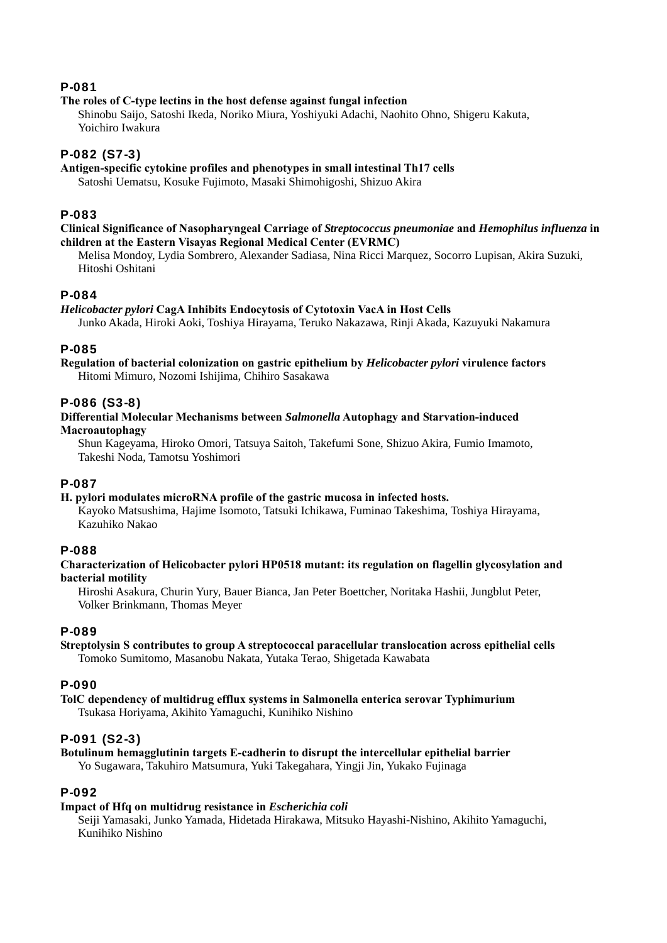## **The roles of C-type lectins in the host defense against fungal infection**

Shinobu Saijo, Satoshi Ikeda, Noriko Miura, Yoshiyuki Adachi, Naohito Ohno, Shigeru Kakuta, Yoichiro Iwakura

# P-082 (S7-3)

**Antigen-specific cytokine profiles and phenotypes in small intestinal Th17 cells** 

Satoshi Uematsu, Kosuke Fujimoto, Masaki Shimohigoshi, Shizuo Akira

# P-083

## **Clinical Significance of Nasopharyngeal Carriage of** *Streptococcus pneumoniae* **and** *Hemophilus influenza* **in children at the Eastern Visayas Regional Medical Center (EVRMC)**

Melisa Mondoy, Lydia Sombrero, Alexander Sadiasa, Nina Ricci Marquez, Socorro Lupisan, Akira Suzuki, Hitoshi Oshitani

# P-084

## *Helicobacter pylori* **CagA Inhibits Endocytosis of Cytotoxin VacA in Host Cells**

Junko Akada, Hiroki Aoki, Toshiya Hirayama, Teruko Nakazawa, Rinji Akada, Kazuyuki Nakamura

# P-085

**Regulation of bacterial colonization on gastric epithelium by** *Helicobacter pylori* **virulence factors**  Hitomi Mimuro, Nozomi Ishijima, Chihiro Sasakawa

# P-086 (S3-8)

### **Differential Molecular Mechanisms between** *Salmonella* **Autophagy and Starvation-induced Macroautophagy**

Shun Kageyama, Hiroko Omori, Tatsuya Saitoh, Takefumi Sone, Shizuo Akira, Fumio Imamoto, Takeshi Noda, Tamotsu Yoshimori

# P-087

## **H. pylori modulates microRNA profile of the gastric mucosa in infected hosts.**

Kayoko Matsushima, Hajime Isomoto, Tatsuki Ichikawa, Fuminao Takeshima, Toshiya Hirayama, Kazuhiko Nakao

## P-088

### **Characterization of Helicobacter pylori HP0518 mutant: its regulation on flagellin glycosylation and bacterial motility**

Hiroshi Asakura, Churin Yury, Bauer Bianca, Jan Peter Boettcher, Noritaka Hashii, Jungblut Peter, Volker Brinkmann, Thomas Meyer

# P-089

### **Streptolysin S contributes to group A streptococcal paracellular translocation across epithelial cells**  Tomoko Sumitomo, Masanobu Nakata, Yutaka Terao, Shigetada Kawabata

# P-090

**TolC dependency of multidrug efflux systems in Salmonella enterica serovar Typhimurium**  Tsukasa Horiyama, Akihito Yamaguchi, Kunihiko Nishino

# P-091 (S2-3)

#### **Botulinum hemagglutinin targets E-cadherin to disrupt the intercellular epithelial barrier**  Yo Sugawara, Takuhiro Matsumura, Yuki Takegahara, Yingji Jin, Yukako Fujinaga

# P-092

## **Impact of Hfq on multidrug resistance in** *Escherichia coli*

Seiji Yamasaki, Junko Yamada, Hidetada Hirakawa, Mitsuko Hayashi-Nishino, Akihito Yamaguchi, Kunihiko Nishino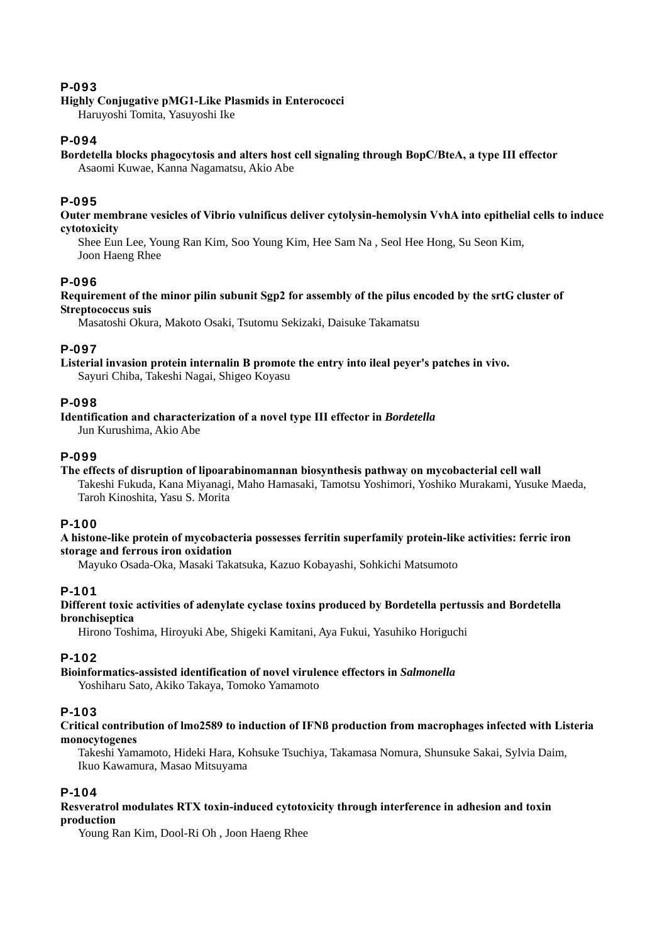## **Highly Conjugative pMG1-Like Plasmids in Enterococci**

Haruyoshi Tomita, Yasuyoshi Ike

# P-094

**Bordetella blocks phagocytosis and alters host cell signaling through BopC/BteA, a type III effector** 

Asaomi Kuwae, Kanna Nagamatsu, Akio Abe

# P-095

**Outer membrane vesicles of Vibrio vulnificus deliver cytolysin-hemolysin VvhA into epithelial cells to induce cytotoxicity** 

Shee Eun Lee, Young Ran Kim, Soo Young Kim, Hee Sam Na , Seol Hee Hong, Su Seon Kim, Joon Haeng Rhee

# P-096

#### **Requirement of the minor pilin subunit Sgp2 for assembly of the pilus encoded by the srtG cluster of Streptococcus suis**

Masatoshi Okura, Makoto Osaki, Tsutomu Sekizaki, Daisuke Takamatsu

# P-097

**Listerial invasion protein internalin B promote the entry into ileal peyer's patches in vivo.**  Sayuri Chiba, Takeshi Nagai, Shigeo Koyasu

# P-098

## **Identification and characterization of a novel type III effector in** *Bordetella*

Jun Kurushima, Akio Abe

## P-099

**The effects of disruption of lipoarabinomannan biosynthesis pathway on mycobacterial cell wall**  Takeshi Fukuda, Kana Miyanagi, Maho Hamasaki, Tamotsu Yoshimori, Yoshiko Murakami, Yusuke Maeda, Taroh Kinoshita, Yasu S. Morita

## P-100

**A histone-like protein of mycobacteria possesses ferritin superfamily protein-like activities: ferric iron storage and ferrous iron oxidation** 

Mayuko Osada-Oka, Masaki Takatsuka, Kazuo Kobayashi, Sohkichi Matsumoto

# P-101

### **Different toxic activities of adenylate cyclase toxins produced by Bordetella pertussis and Bordetella bronchiseptica**

Hirono Toshima, Hiroyuki Abe, Shigeki Kamitani, Aya Fukui, Yasuhiko Horiguchi

## P-102

**Bioinformatics-assisted identification of novel virulence effectors in** *Salmonella* Yoshiharu Sato, Akiko Takaya, Tomoko Yamamoto

## P-103

### **Critical contribution of lmo2589 to induction of IFNß production from macrophages infected with Listeria monocytogenes**

Takeshi Yamamoto, Hideki Hara, Kohsuke Tsuchiya, Takamasa Nomura, Shunsuke Sakai, Sylvia Daim, Ikuo Kawamura, Masao Mitsuyama

# P-104

### **Resveratrol modulates RTX toxin-induced cytotoxicity through interference in adhesion and toxin production**

Young Ran Kim, Dool-Ri Oh , Joon Haeng Rhee